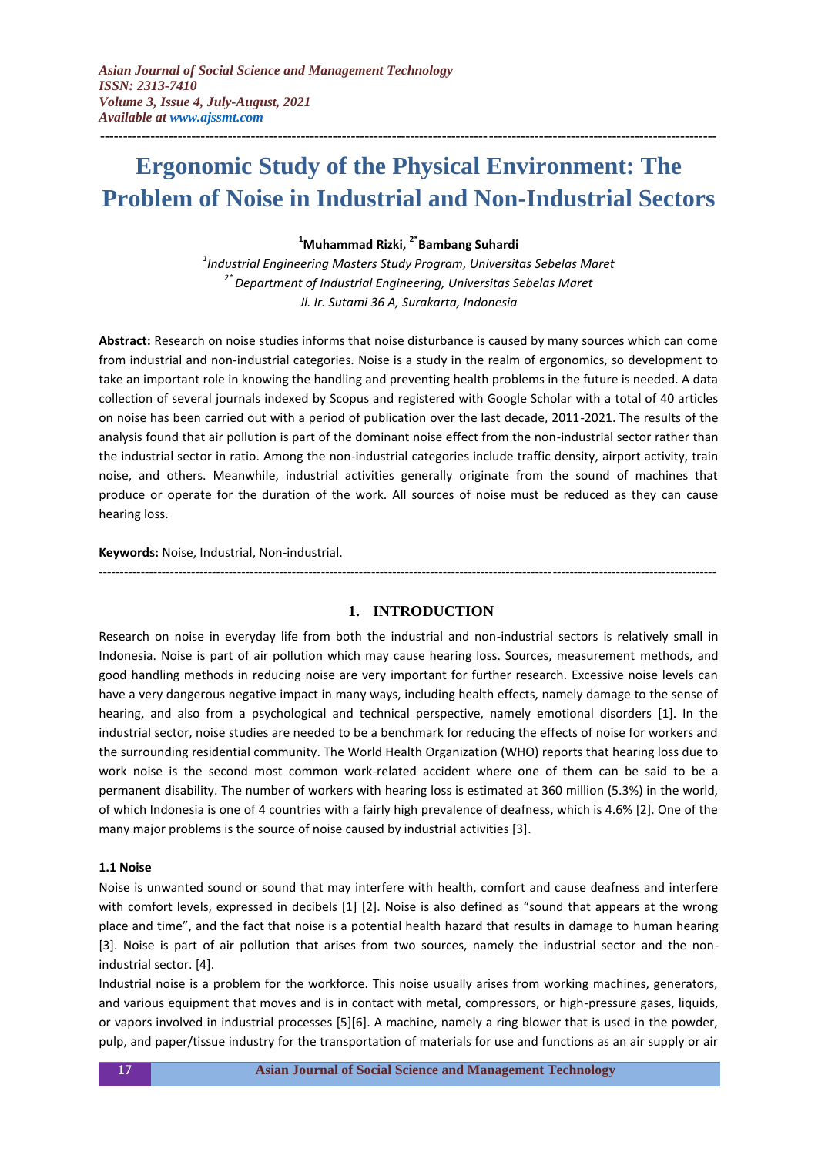# **Ergonomic Study of the Physical Environment: The Problem of Noise in Industrial and Non-Industrial Sectors**

**---------------------------------------------------------------------------------------------------------------------------------------**

# **<sup>1</sup>Muhammad Rizki, 2\*Bambang Suhardi**

*1 Industrial Engineering Masters Study Program, Universitas Sebelas Maret 2\* Department of Industrial Engineering, Universitas Sebelas Maret Jl. Ir. Sutami 36 A, Surakarta, Indonesia*

**Abstract:** Research on noise studies informs that noise disturbance is caused by many sources which can come from industrial and non-industrial categories. Noise is a study in the realm of ergonomics, so development to take an important role in knowing the handling and preventing health problems in the future is needed. A data collection of several journals indexed by Scopus and registered with Google Scholar with a total of 40 articles on noise has been carried out with a period of publication over the last decade, 2011-2021. The results of the analysis found that air pollution is part of the dominant noise effect from the non-industrial sector rather than the industrial sector in ratio. Among the non-industrial categories include traffic density, airport activity, train noise, and others. Meanwhile, industrial activities generally originate from the sound of machines that produce or operate for the duration of the work. All sources of noise must be reduced as they can cause hearing loss.

#### **Keywords:** Noise, Industrial, Non-industrial.

---------------------------------------------------------------------------------------------------------------------------------------------------

## **1. INTRODUCTION**

Research on noise in everyday life from both the industrial and non-industrial sectors is relatively small in Indonesia. Noise is part of air pollution which may cause hearing loss. Sources, measurement methods, and good handling methods in reducing noise are very important for further research. Excessive noise levels can have a very dangerous negative impact in many ways, including health effects, namely damage to the sense of hearing, and also from a psychological and technical perspective, namely emotional disorders [1]. In the industrial sector, noise studies are needed to be a benchmark for reducing the effects of noise for workers and the surrounding residential community. The World Health Organization (WHO) reports that hearing loss due to work noise is the second most common work-related accident where one of them can be said to be a permanent disability. The number of workers with hearing loss is estimated at 360 million (5.3%) in the world, of which Indonesia is one of 4 countries with a fairly high prevalence of deafness, which is 4.6% [2]. One of the many major problems is the source of noise caused by industrial activities [3].

#### **1.1 Noise**

Noise is unwanted sound or sound that may interfere with health, comfort and cause deafness and interfere with comfort levels, expressed in decibels [1] [2]. Noise is also defined as "sound that appears at the wrong place and time", and the fact that noise is a potential health hazard that results in damage to human hearing [3]. Noise is part of air pollution that arises from two sources, namely the industrial sector and the nonindustrial sector. [4].

Industrial noise is a problem for the workforce. This noise usually arises from working machines, generators, and various equipment that moves and is in contact with metal, compressors, or high-pressure gases, liquids, or vapors involved in industrial processes [5][6]. A machine, namely a ring blower that is used in the powder, pulp, and paper/tissue industry for the transportation of materials for use and functions as an air supply or air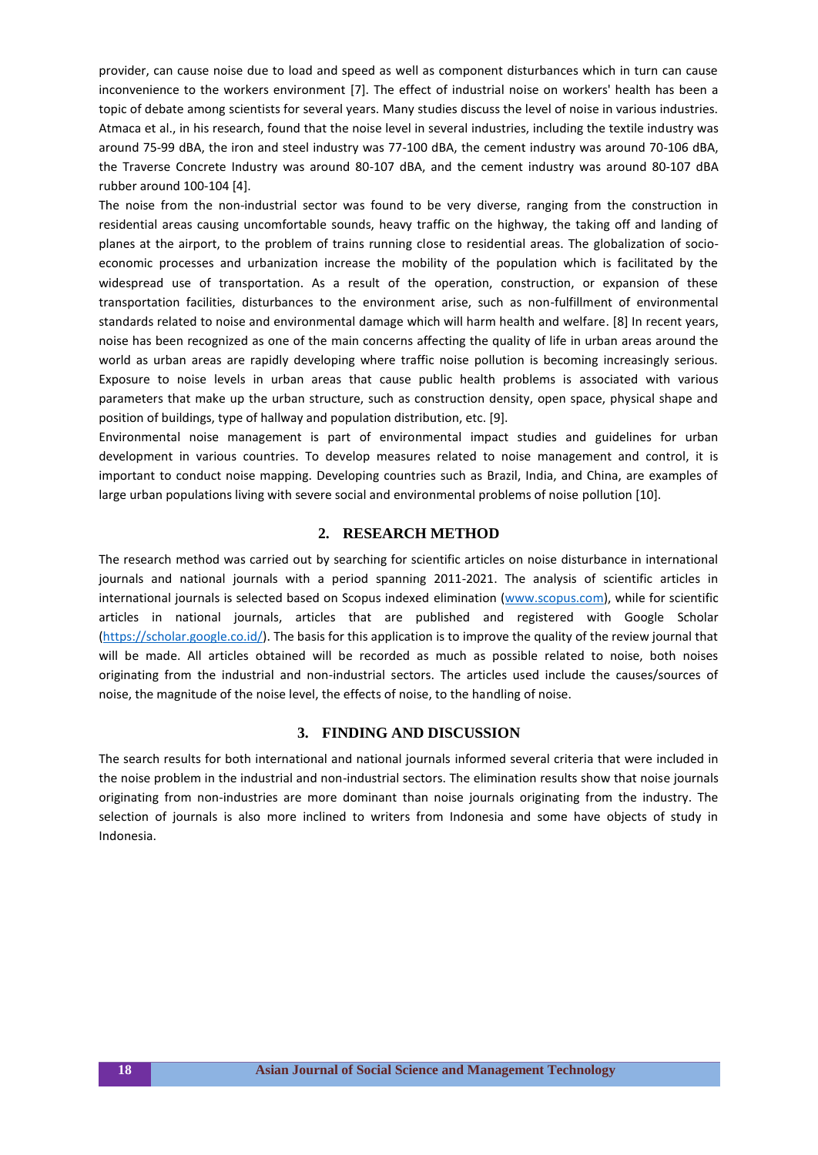provider, can cause noise due to load and speed as well as component disturbances which in turn can cause inconvenience to the workers environment [7]. The effect of industrial noise on workers' health has been a topic of debate among scientists for several years. Many studies discuss the level of noise in various industries. Atmaca et al., in his research, found that the noise level in several industries, including the textile industry was around 75-99 dBA, the iron and steel industry was 77-100 dBA, the cement industry was around 70-106 dBA, the Traverse Concrete Industry was around 80-107 dBA, and the cement industry was around 80-107 dBA rubber around 100-104 [4].

The noise from the non-industrial sector was found to be very diverse, ranging from the construction in residential areas causing uncomfortable sounds, heavy traffic on the highway, the taking off and landing of planes at the airport, to the problem of trains running close to residential areas. The globalization of socioeconomic processes and urbanization increase the mobility of the population which is facilitated by the widespread use of transportation. As a result of the operation, construction, or expansion of these transportation facilities, disturbances to the environment arise, such as non-fulfillment of environmental standards related to noise and environmental damage which will harm health and welfare. [8] In recent years, noise has been recognized as one of the main concerns affecting the quality of life in urban areas around the world as urban areas are rapidly developing where traffic noise pollution is becoming increasingly serious. Exposure to noise levels in urban areas that cause public health problems is associated with various parameters that make up the urban structure, such as construction density, open space, physical shape and position of buildings, type of hallway and population distribution, etc. [9].

Environmental noise management is part of environmental impact studies and guidelines for urban development in various countries. To develop measures related to noise management and control, it is important to conduct noise mapping. Developing countries such as Brazil, India, and China, are examples of large urban populations living with severe social and environmental problems of noise pollution [10].

## **2. RESEARCH METHOD**

The research method was carried out by searching for scientific articles on noise disturbance in international journals and national journals with a period spanning 2011-2021. The analysis of scientific articles in international journals is selected based on Scopus indexed elimination [\(www.scopus.com\)](http://www.scopus.com/), while for scientific articles in national journals, articles that are published and registered with Google Scholar [\(https://scholar.google.co.id/\)](https://scholar.google.co.id/). The basis for this application is to improve the quality of the review journal that will be made. All articles obtained will be recorded as much as possible related to noise, both noises originating from the industrial and non-industrial sectors. The articles used include the causes/sources of noise, the magnitude of the noise level, the effects of noise, to the handling of noise.

### **3. FINDING AND DISCUSSION**

The search results for both international and national journals informed several criteria that were included in the noise problem in the industrial and non-industrial sectors. The elimination results show that noise journals originating from non-industries are more dominant than noise journals originating from the industry. The selection of journals is also more inclined to writers from Indonesia and some have objects of study in Indonesia.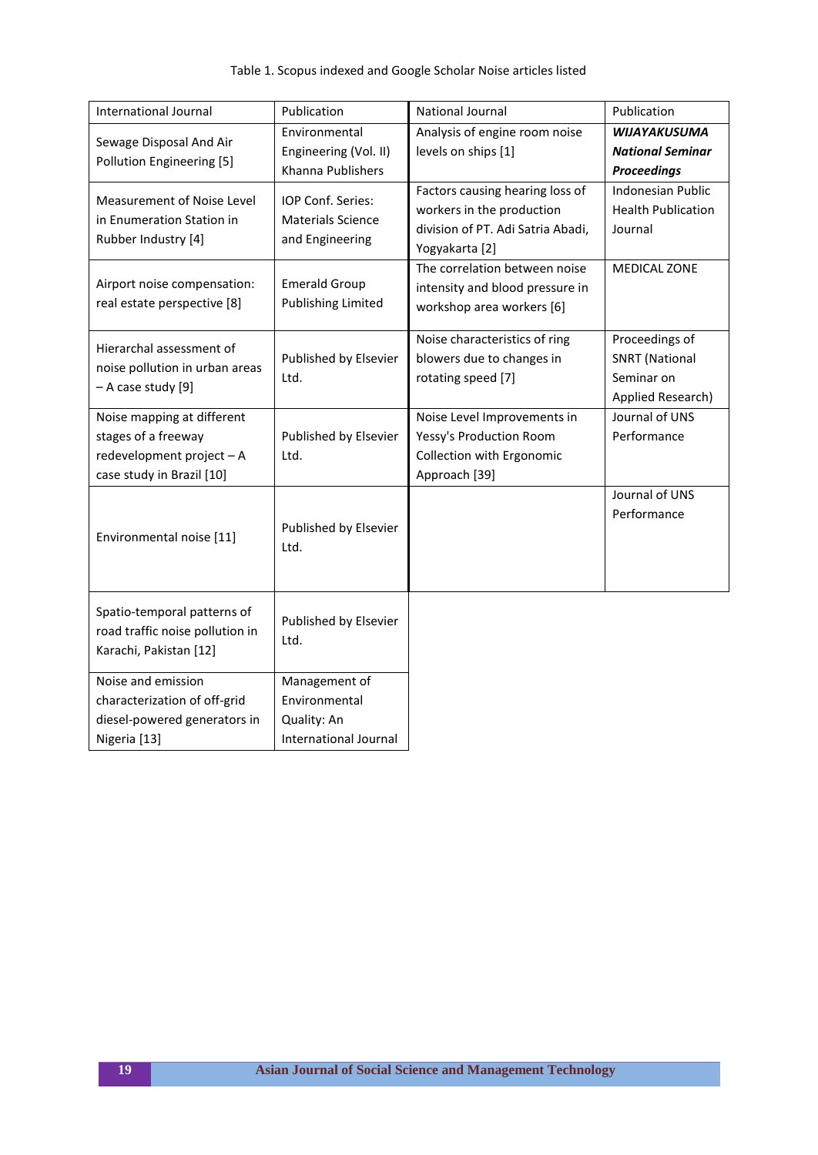| <b>International Journal</b>    | Publication               | National Journal                  | Publication               |
|---------------------------------|---------------------------|-----------------------------------|---------------------------|
| Sewage Disposal And Air         | Environmental             | Analysis of engine room noise     | <b>WIJAYAKUSUMA</b>       |
| Pollution Engineering [5]       | Engineering (Vol. II)     | levels on ships [1]               | <b>National Seminar</b>   |
|                                 | Khanna Publishers         |                                   | <b>Proceedings</b>        |
| Measurement of Noise Level      | IOP Conf. Series:         | Factors causing hearing loss of   | <b>Indonesian Public</b>  |
| in Enumeration Station in       | <b>Materials Science</b>  | workers in the production         | <b>Health Publication</b> |
|                                 |                           | division of PT. Adi Satria Abadi, | Journal                   |
| Rubber Industry [4]             | and Engineering           | Yogyakarta [2]                    |                           |
|                                 |                           | The correlation between noise     | MEDICAL ZONE              |
| Airport noise compensation:     | <b>Emerald Group</b>      | intensity and blood pressure in   |                           |
| real estate perspective [8]     | <b>Publishing Limited</b> | workshop area workers [6]         |                           |
|                                 |                           |                                   |                           |
| Hierarchal assessment of        |                           | Noise characteristics of ring     | Proceedings of            |
| noise pollution in urban areas  | Published by Elsevier     | blowers due to changes in         | <b>SNRT</b> (National     |
| - A case study [9]              | Ltd.                      | rotating speed [7]                | Seminar on                |
|                                 |                           |                                   | Applied Research)         |
| Noise mapping at different      |                           | Noise Level Improvements in       | Journal of UNS            |
| stages of a freeway             | Published by Elsevier     | Yessy's Production Room           | Performance               |
| redevelopment project - A       | Ltd.                      | Collection with Ergonomic         |                           |
| case study in Brazil [10]       |                           | Approach [39]                     |                           |
|                                 |                           |                                   | Journal of UNS            |
|                                 |                           |                                   | Performance               |
| Environmental noise [11]        | Published by Elsevier     |                                   |                           |
|                                 | Ltd.                      |                                   |                           |
|                                 |                           |                                   |                           |
|                                 |                           |                                   |                           |
| Spatio-temporal patterns of     |                           |                                   |                           |
| road traffic noise pollution in | Published by Elsevier     |                                   |                           |
| Karachi, Pakistan [12]          | Ltd.                      |                                   |                           |
|                                 |                           |                                   |                           |
| Noise and emission              | Management of             |                                   |                           |
| characterization of off-grid    | Environmental             |                                   |                           |
| diesel-powered generators in    | Quality: An               |                                   |                           |
| Nigeria [13]                    | International Journal     |                                   |                           |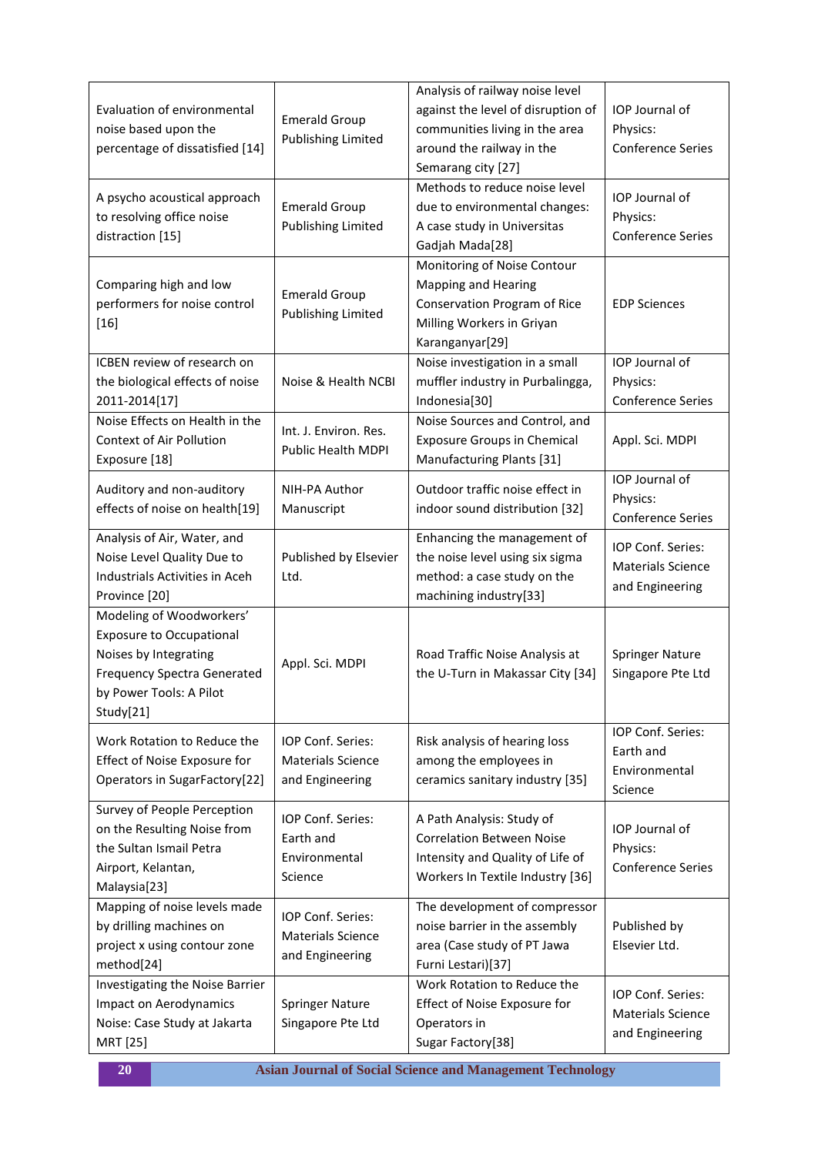| <b>Evaluation of environmental</b><br>noise based upon the<br>percentage of dissatisfied [14]                                                                      | <b>Emerald Group</b><br><b>Publishing Limited</b>                | Analysis of railway noise level<br>against the level of disruption of<br>communities living in the area<br>around the railway in the<br>Semarang city [27] | IOP Journal of<br>Physics:<br><b>Conference Series</b>           |
|--------------------------------------------------------------------------------------------------------------------------------------------------------------------|------------------------------------------------------------------|------------------------------------------------------------------------------------------------------------------------------------------------------------|------------------------------------------------------------------|
| A psycho acoustical approach<br>to resolving office noise<br>distraction [15]                                                                                      | <b>Emerald Group</b><br><b>Publishing Limited</b>                | Methods to reduce noise level<br>due to environmental changes:<br>A case study in Universitas<br>Gadjah Mada[28]                                           | IOP Journal of<br>Physics:<br><b>Conference Series</b>           |
| Comparing high and low<br>performers for noise control<br>$[16]$                                                                                                   | <b>Emerald Group</b><br><b>Publishing Limited</b>                | Monitoring of Noise Contour<br><b>Mapping and Hearing</b><br>Conservation Program of Rice<br>Milling Workers in Griyan<br>Karanganyar[29]                  | <b>EDP Sciences</b>                                              |
| <b>ICBEN</b> review of research on<br>the biological effects of noise<br>2011-2014[17]                                                                             | Noise & Health NCBI                                              | Noise investigation in a small<br>muffler industry in Purbalingga,<br>Indonesia[30]                                                                        | IOP Journal of<br>Physics:<br><b>Conference Series</b>           |
| Noise Effects on Health in the<br><b>Context of Air Pollution</b><br>Exposure [18]                                                                                 | Int. J. Environ. Res.<br>Public Health MDPI                      | Noise Sources and Control, and<br><b>Exposure Groups in Chemical</b><br>Manufacturing Plants [31]                                                          | Appl. Sci. MDPI                                                  |
| Auditory and non-auditory<br>effects of noise on health[19]                                                                                                        | NIH-PA Author<br>Manuscript                                      | Outdoor traffic noise effect in<br>indoor sound distribution [32]                                                                                          | IOP Journal of<br>Physics:<br><b>Conference Series</b>           |
| Analysis of Air, Water, and<br>Noise Level Quality Due to<br>Industrials Activities in Aceh<br>Province [20]                                                       | Published by Elsevier<br>Ltd.                                    | Enhancing the management of<br>the noise level using six sigma<br>method: a case study on the<br>machining industry[33]                                    | IOP Conf. Series:<br><b>Materials Science</b><br>and Engineering |
| Modeling of Woodworkers'<br><b>Exposure to Occupational</b><br>Noises by Integrating<br><b>Frequency Spectra Generated</b><br>by Power Tools: A Pilot<br>Study[21] | Appl. Sci. MDPI                                                  | Road Traffic Noise Analysis at<br>the U-Turn in Makassar City [34]                                                                                         | <b>Springer Nature</b><br>Singapore Pte Ltd                      |
| Work Rotation to Reduce the<br>Effect of Noise Exposure for<br>Operators in SugarFactory[22]                                                                       | IOP Conf. Series:<br><b>Materials Science</b><br>and Engineering | Risk analysis of hearing loss<br>among the employees in<br>ceramics sanitary industry [35]                                                                 | IOP Conf. Series:<br>Earth and<br>Environmental<br>Science       |
| Survey of People Perception<br>on the Resulting Noise from<br>the Sultan Ismail Petra<br>Airport, Kelantan,<br>Malaysia[23]                                        | IOP Conf. Series:<br>Earth and<br>Environmental<br>Science       | A Path Analysis: Study of<br><b>Correlation Between Noise</b><br>Intensity and Quality of Life of<br>Workers In Textile Industry [36]                      | IOP Journal of<br>Physics:<br><b>Conference Series</b>           |
| Mapping of noise levels made<br>by drilling machines on<br>project x using contour zone<br>method[24]                                                              | IOP Conf. Series:<br><b>Materials Science</b><br>and Engineering | The development of compressor<br>noise barrier in the assembly<br>area (Case study of PT Jawa<br>Furni Lestari)[37]                                        | Published by<br>Elsevier Ltd.                                    |
| Investigating the Noise Barrier<br><b>Impact on Aerodynamics</b><br>Noise: Case Study at Jakarta<br>MRT [25]                                                       | <b>Springer Nature</b><br>Singapore Pte Ltd                      | Work Rotation to Reduce the<br>Effect of Noise Exposure for<br>Operators in<br>Sugar Factory[38]                                                           | IOP Conf. Series:<br><b>Materials Science</b><br>and Engineering |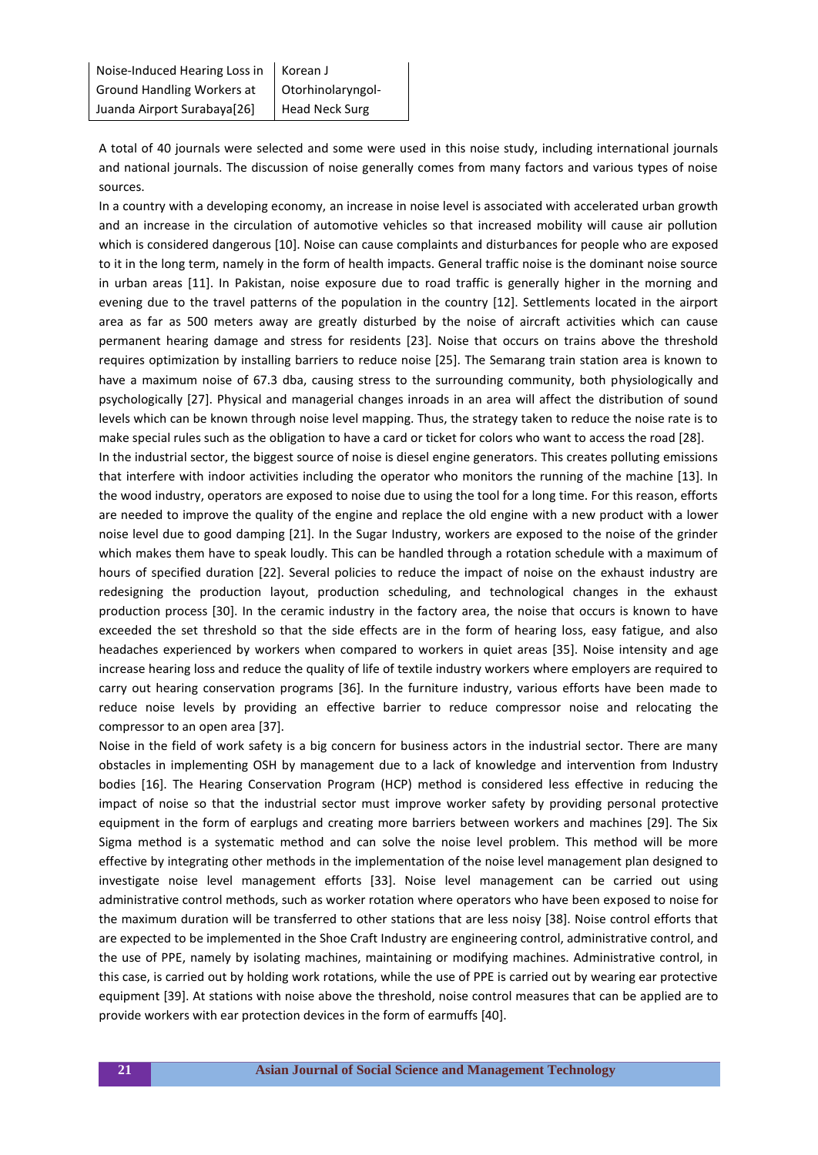A total of 40 journals were selected and some were used in this noise study, including international journals and national journals. The discussion of noise generally comes from many factors and various types of noise sources.

In a country with a developing economy, an increase in noise level is associated with accelerated urban growth and an increase in the circulation of automotive vehicles so that increased mobility will cause air pollution which is considered dangerous [10]. Noise can cause complaints and disturbances for people who are exposed to it in the long term, namely in the form of health impacts. General traffic noise is the dominant noise source in urban areas [11]. In Pakistan, noise exposure due to road traffic is generally higher in the morning and evening due to the travel patterns of the population in the country [12]. Settlements located in the airport area as far as 500 meters away are greatly disturbed by the noise of aircraft activities which can cause permanent hearing damage and stress for residents [23]. Noise that occurs on trains above the threshold requires optimization by installing barriers to reduce noise [25]. The Semarang train station area is known to have a maximum noise of 67.3 dba, causing stress to the surrounding community, both physiologically and psychologically [27]. Physical and managerial changes inroads in an area will affect the distribution of sound levels which can be known through noise level mapping. Thus, the strategy taken to reduce the noise rate is to make special rules such as the obligation to have a card or ticket for colors who want to access the road [28].

In the industrial sector, the biggest source of noise is diesel engine generators. This creates polluting emissions that interfere with indoor activities including the operator who monitors the running of the machine [13]. In the wood industry, operators are exposed to noise due to using the tool for a long time. For this reason, efforts are needed to improve the quality of the engine and replace the old engine with a new product with a lower noise level due to good damping [21]. In the Sugar Industry, workers are exposed to the noise of the grinder which makes them have to speak loudly. This can be handled through a rotation schedule with a maximum of hours of specified duration [22]. Several policies to reduce the impact of noise on the exhaust industry are redesigning the production layout, production scheduling, and technological changes in the exhaust production process [30]. In the ceramic industry in the factory area, the noise that occurs is known to have exceeded the set threshold so that the side effects are in the form of hearing loss, easy fatigue, and also headaches experienced by workers when compared to workers in quiet areas [35]. Noise intensity and age increase hearing loss and reduce the quality of life of textile industry workers where employers are required to carry out hearing conservation programs [36]. In the furniture industry, various efforts have been made to reduce noise levels by providing an effective barrier to reduce compressor noise and relocating the compressor to an open area [37].

Noise in the field of work safety is a big concern for business actors in the industrial sector. There are many obstacles in implementing OSH by management due to a lack of knowledge and intervention from Industry bodies [16]. The Hearing Conservation Program (HCP) method is considered less effective in reducing the impact of noise so that the industrial sector must improve worker safety by providing personal protective equipment in the form of earplugs and creating more barriers between workers and machines [29]. The Six Sigma method is a systematic method and can solve the noise level problem. This method will be more effective by integrating other methods in the implementation of the noise level management plan designed to investigate noise level management efforts [33]. Noise level management can be carried out using administrative control methods, such as worker rotation where operators who have been exposed to noise for the maximum duration will be transferred to other stations that are less noisy [38]. Noise control efforts that are expected to be implemented in the Shoe Craft Industry are engineering control, administrative control, and the use of PPE, namely by isolating machines, maintaining or modifying machines. Administrative control, in this case, is carried out by holding work rotations, while the use of PPE is carried out by wearing ear protective equipment [39]. At stations with noise above the threshold, noise control measures that can be applied are to provide workers with ear protection devices in the form of earmuffs [40].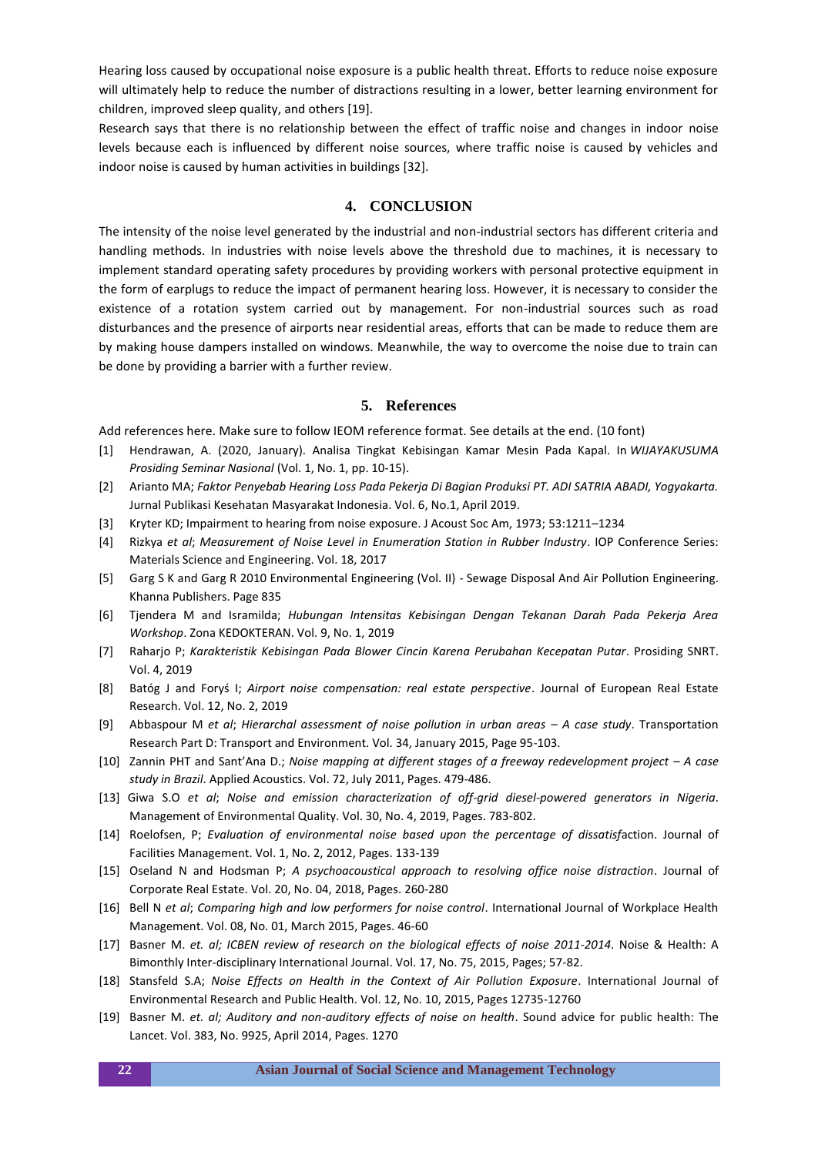Hearing loss caused by occupational noise exposure is a public health threat. Efforts to reduce noise exposure will ultimately help to reduce the number of distractions resulting in a lower, better learning environment for children, improved sleep quality, and others [19].

Research says that there is no relationship between the effect of traffic noise and changes in indoor noise levels because each is influenced by different noise sources, where traffic noise is caused by vehicles and indoor noise is caused by human activities in buildings [32].

## **4. CONCLUSION**

The intensity of the noise level generated by the industrial and non-industrial sectors has different criteria and handling methods. In industries with noise levels above the threshold due to machines, it is necessary to implement standard operating safety procedures by providing workers with personal protective equipment in the form of earplugs to reduce the impact of permanent hearing loss. However, it is necessary to consider the existence of a rotation system carried out by management. For non-industrial sources such as road disturbances and the presence of airports near residential areas, efforts that can be made to reduce them are by making house dampers installed on windows. Meanwhile, the way to overcome the noise due to train can be done by providing a barrier with a further review.

#### **5. References**

Add references here. Make sure to follow IEOM reference format. See details at the end. (10 font)

- [1] Hendrawan, A. (2020, January). Analisa Tingkat Kebisingan Kamar Mesin Pada Kapal. In *WIJAYAKUSUMA Prosiding Seminar Nasional* (Vol. 1, No. 1, pp. 10-15).
- [2] Arianto MA; *Faktor Penyebab Hearing Loss Pada Pekerja Di Bagian Produksi PT. ADI SATRIA ABADI, Yogyakarta.* Jurnal Publikasi Kesehatan Masyarakat Indonesia. Vol. 6, No.1, April 2019.
- [3] Kryter KD; Impairment to hearing from noise exposure. J Acoust Soc Am, 1973; 53:1211–1234
- [4] Rizkya *et al*; *Measurement of Noise Level in Enumeration Station in Rubber Industry*. IOP Conference Series: Materials Science and Engineering. Vol. 18, 2017
- [5] Garg S K and Garg R 2010 Environmental Engineering (Vol. II) Sewage Disposal And Air Pollution Engineering. Khanna Publishers. Page 835
- [6] Tjendera M and Isramilda; *Hubungan Intensitas Kebisingan Dengan Tekanan Darah Pada Pekerja Area Workshop*. Zona KEDOKTERAN. Vol. 9, No. 1, 2019
- [7] Raharjo P; *Karakteristik Kebisingan Pada Blower Cincin Karena Perubahan Kecepatan Putar*. Prosiding SNRT. Vol. 4, 2019
- [8] Batóg J and Foryś I; *Airport noise compensation: real estate perspective*. Journal of European Real Estate Research. Vol. 12, No. 2, 2019
- [9] Abbaspour M *et al; Hierarchal assessment of noise pollution in urban areas A case study. Transportation* Research Part D: Transport and Environment. Vol. 34, January 2015, Page 95-103.
- [10] Zannin PHT and Sant'Ana D.; *Noise mapping at different stages of a freeway redevelopment project A case study in Brazil*. Applied Acoustics. Vol. 72, July 2011, Pages. 479-486.
- [13] Giwa S.O *et al*; *Noise and emission characterization of off-grid diesel-powered generators in Nigeria*. Management of Environmental Quality. Vol. 30, No. 4, 2019, Pages. 783-802.
- [14] Roelofsen, P; *Evaluation of environmental noise based upon the percentage of dissatisf*action. Journal of Facilities Management. Vol. 1, No. 2, 2012, Pages. 133-139
- [15] Oseland N and Hodsman P; *A psychoacoustical approach to resolving office noise distraction*. Journal of Corporate Real Estate. Vol. 20, No. 04, 2018, Pages. 260-280
- [16] Bell N *et al*; *Comparing high and low performers for noise control*. International Journal of Workplace Health Management. Vol. 08, No. 01, March 2015, Pages. 46-60
- [17] Basner M. *et. al; ICBEN review of research on the biological effects of noise 2011-2014*. Noise & Health: A Bimonthly Inter-disciplinary International Journal. Vol. 17, No. 75, 2015, Pages; 57-82.
- [18] Stansfeld S.A; *Noise Effects on Health in the Context of Air Pollution Exposure*. International Journal of Environmental Research and Public Health. Vol. 12, No. 10, 2015, Pages 12735-12760
- [19] Basner M. *et. al; Auditory and non-auditory effects of noise on health*. Sound advice for public health: The Lancet. Vol. 383, No. 9925, April 2014, Pages. 1270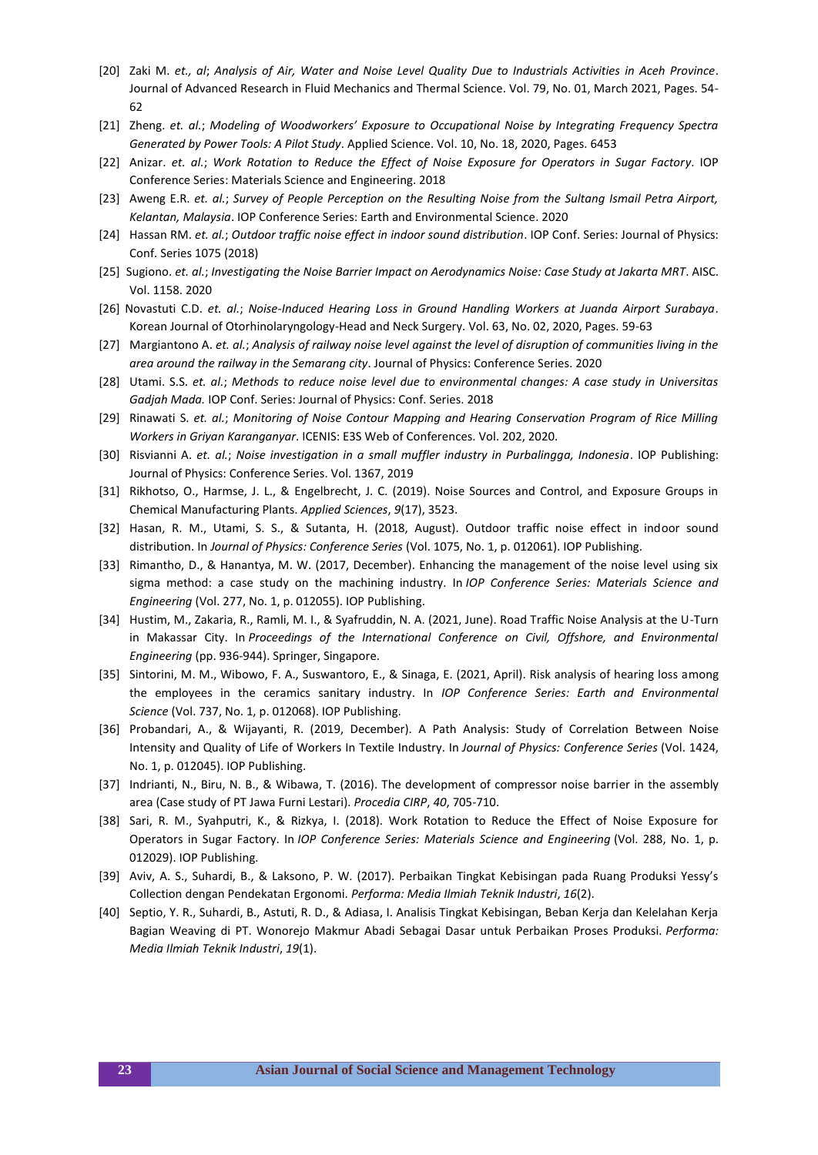- [20] Zaki M. *et., al*; *Analysis of Air, Water and Noise Level Quality Due to Industrials Activities in Aceh Province*. Journal of Advanced Research in Fluid Mechanics and Thermal Science. Vol. 79, No. 01, March 2021, Pages. 54- 62
- [21] Zheng. *et. al.*; *Modeling of Woodworkers' Exposure to Occupational Noise by Integrating Frequency Spectra Generated by Power Tools: A Pilot Study*. Applied Science. Vol. 10, No. 18, 2020, Pages. 6453
- [22] Anizar. *et. al.*; *Work Rotation to Reduce the Effect of Noise Exposure for Operators in Sugar Factory*. IOP Conference Series: Materials Science and Engineering. 2018
- [23] Aweng E.R. *et. al.*; *Survey of People Perception on the Resulting Noise from the Sultang Ismail Petra Airport, Kelantan, Malaysia*. IOP Conference Series: Earth and Environmental Science. 2020
- [24] Hassan RM. *et. al.*; *Outdoor traffic noise effect in indoor sound distribution*. IOP Conf. Series: Journal of Physics: Conf. Series 1075 (2018)
- [25] Sugiono. *et. al.*; *Investigating the Noise Barrier Impact on Aerodynamics Noise: Case Study at Jakarta MRT*. AISC. Vol. 1158. 2020
- [26] Novastuti C.D. *et. al.*; *Noise-Induced Hearing Loss in Ground Handling Workers at Juanda Airport Surabaya*. Korean Journal of Otorhinolaryngology-Head and Neck Surgery. Vol. 63, No. 02, 2020, Pages. 59-63
- [27] Margiantono A. *et. al.*; *Analysis of railway noise level against the level of disruption of communities living in the area around the railway in the Semarang city*. Journal of Physics: Conference Series. 2020
- [28] Utami. S.S. *et. al.*; *Methods to reduce noise level due to environmental changes: A case study in Universitas Gadjah Mada.* IOP Conf. Series: Journal of Physics: Conf. Series. 2018
- [29] Rinawati S. *et. al.*; *Monitoring of Noise Contour Mapping and Hearing Conservation Program of Rice Milling Workers in Griyan Karanganyar*. ICENIS: E3S Web of Conferences. Vol. 202, 2020.
- [30] Risvianni A. *et. al.*; *Noise investigation in a small muffler industry in Purbalingga, Indonesia*. IOP Publishing: Journal of Physics: Conference Series. Vol. 1367, 2019
- [31] Rikhotso, O., Harmse, J. L., & Engelbrecht, J. C. (2019). Noise Sources and Control, and Exposure Groups in Chemical Manufacturing Plants. *Applied Sciences*, *9*(17), 3523.
- [32] Hasan, R. M., Utami, S. S., & Sutanta, H. (2018, August). Outdoor traffic noise effect in indoor sound distribution. In *Journal of Physics: Conference Series* (Vol. 1075, No. 1, p. 012061). IOP Publishing.
- [33] Rimantho, D., & Hanantya, M. W. (2017, December). Enhancing the management of the noise level using six sigma method: a case study on the machining industry. In *IOP Conference Series: Materials Science and Engineering* (Vol. 277, No. 1, p. 012055). IOP Publishing.
- [34] Hustim, M., Zakaria, R., Ramli, M. I., & Syafruddin, N. A. (2021, June). Road Traffic Noise Analysis at the U-Turn in Makassar City. In *Proceedings of the International Conference on Civil, Offshore, and Environmental Engineering* (pp. 936-944). Springer, Singapore.
- [35] Sintorini, M. M., Wibowo, F. A., Suswantoro, E., & Sinaga, E. (2021, April). Risk analysis of hearing loss among the employees in the ceramics sanitary industry. In *IOP Conference Series: Earth and Environmental Science* (Vol. 737, No. 1, p. 012068). IOP Publishing.
- [36] Probandari, A., & Wijayanti, R. (2019, December). A Path Analysis: Study of Correlation Between Noise Intensity and Quality of Life of Workers In Textile Industry. In *Journal of Physics: Conference Series* (Vol. 1424, No. 1, p. 012045). IOP Publishing.
- [37] Indrianti, N., Biru, N. B., & Wibawa, T. (2016). The development of compressor noise barrier in the assembly area (Case study of PT Jawa Furni Lestari). *Procedia CIRP*, *40*, 705-710.
- [38] Sari, R. M., Syahputri, K., & Rizkya, I. (2018). Work Rotation to Reduce the Effect of Noise Exposure for Operators in Sugar Factory. In *IOP Conference Series: Materials Science and Engineering* (Vol. 288, No. 1, p. 012029). IOP Publishing.
- [39] Aviv, A. S., Suhardi, B., & Laksono, P. W. (2017). Perbaikan Tingkat Kebisingan pada Ruang Produksi Yessy's Collection dengan Pendekatan Ergonomi. *Performa: Media Ilmiah Teknik Industri*, *16*(2).
- [40] Septio, Y. R., Suhardi, B., Astuti, R. D., & Adiasa, I. Analisis Tingkat Kebisingan, Beban Kerja dan Kelelahan Kerja Bagian Weaving di PT. Wonorejo Makmur Abadi Sebagai Dasar untuk Perbaikan Proses Produksi. *Performa: Media Ilmiah Teknik Industri*, *19*(1).